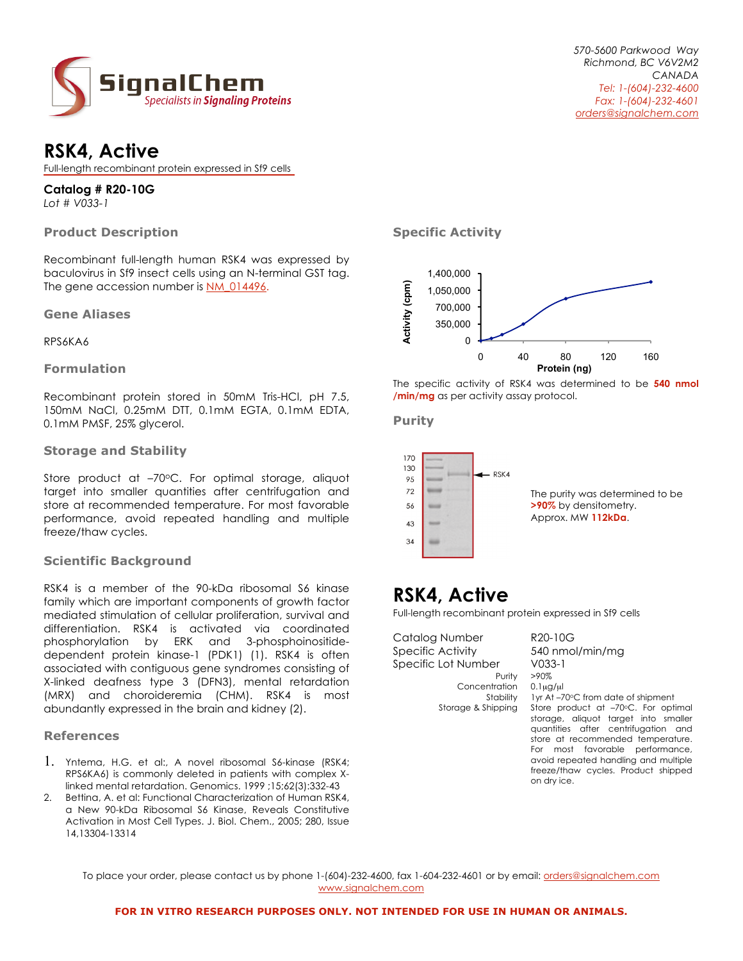

### **RSK4, Active**

Full-length recombinant protein expressed in Sf9 cells

### **Catalog # R20-10G**

*Lot # V033-1*

#### **Product Description**

Recombinant full-length human RSK4 was expressed by baculovirus in Sf9 insect cells using an N-terminal GST tag. The gene accession number is NM\_014496.

#### **Gene Aliases**

RPS6KA6

#### **Formulation**

Recombinant protein stored in 50mM Tris-HCl, pH 7.5, 150mM NaCl, 0.25mM DTT, 0.1mM EGTA, 0.1mM EDTA, 0.1mM PMSF, 25% glycerol.

#### **Storage and Stability**

Store product at -70°C. For optimal storage, aliquot target into smaller quantities after centrifugation and store at recommended temperature. For most favorable performance, avoid repeated handling and multiple freeze/thaw cycles.

#### **Scientific Background**

RSK4 is a member of the 90-kDa ribosomal S6 kinase family which are important components of growth factor mediated stimulation of cellular proliferation, survival and differentiation. RSK4 is activated via coordinated phosphorylation by ERK and 3-phosphoinositidedependent protein kinase-1 (PDK1) (1). RSK4 is often associated with contiguous gene syndromes consisting of X-linked deafness type 3 (DFN3), mental retardation (MRX) and choroideremia (CHM). RSK4 is most abundantly expressed in the brain and kidney (2).

#### **References**

- 1. Yntema, H.G. et al:, A novel ribosomal S6-kinase (RSK4; RPS6KA6) is commonly deleted in patients with complex Xlinked mental retardation. Genomics. 1999 ;15;62(3):332-43
- Bettina, A. et al: Functional Characterization of Human RSK4, a New 90-kDa Ribosomal S6 Kinase, Reveals Constitutive Activation in Most Cell Types. J. Biol. Chem., 2005; 280, Issue 14,13304-13314

**Specific Activity**



The specific activity of RSK4 was determined to be **540 nmol /min/mg** as per activity assay protocol.

**Purity**



## **RSK4, Active**

Full-length recombinant protein expressed in Sf9 cells

Catalog Number R20-10G Specific Activity 540 nmol/min/mg Specific Lot Number V033-1 Purity >90% Concentration 0.1µg/µl

Stability 1yr At –70°C from date of shipment<br>Storage & Shipping Store product at –70°C. For opt Store product at –70°C. For optimal storage, aliquot target into smaller quantities after centrifugation and store at recommended temperature. For most favorable performance, avoid repeated handling and multiple freeze/thaw cycles. Product shipped on dry ice.

To place your order, please contact us by phone 1-(604)-232-4600, fax 1-604-232-4601 or by email: *orders@signalchem.com* www.signalchem.com